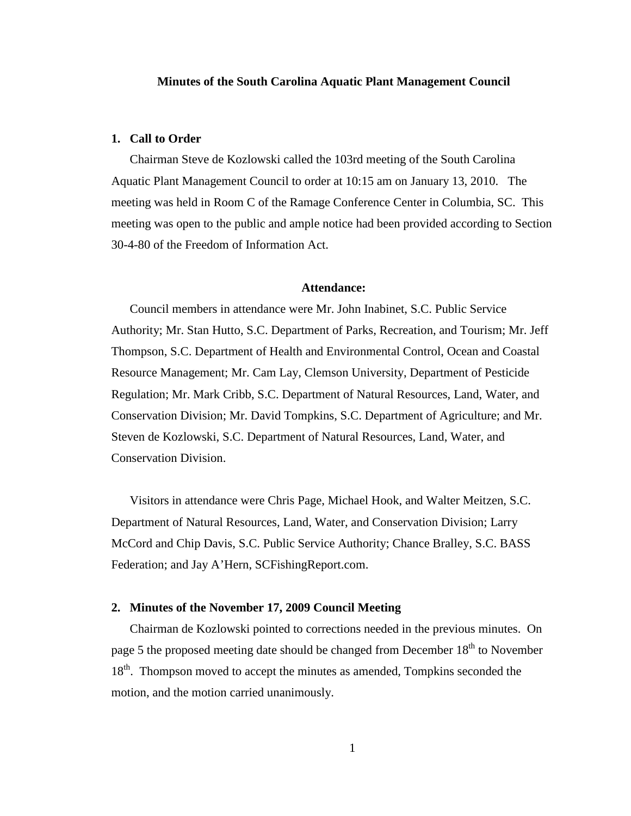# **Minutes of the South Carolina Aquatic Plant Management Council**

# **1. Call to Order**

Chairman Steve de Kozlowski called the 103rd meeting of the South Carolina Aquatic Plant Management Council to order at 10:15 am on January 13, 2010. The meeting was held in Room C of the Ramage Conference Center in Columbia, SC. This meeting was open to the public and ample notice had been provided according to Section 30-4-80 of the Freedom of Information Act.

# **Attendance:**

Council members in attendance were Mr. John Inabinet, S.C. Public Service Authority; Mr. Stan Hutto, S.C. Department of Parks, Recreation, and Tourism; Mr. Jeff Thompson, S.C. Department of Health and Environmental Control, Ocean and Coastal Resource Management; Mr. Cam Lay, Clemson University, Department of Pesticide Regulation; Mr. Mark Cribb, S.C. Department of Natural Resources, Land, Water, and Conservation Division; Mr. David Tompkins, S.C. Department of Agriculture; and Mr. Steven de Kozlowski, S.C. Department of Natural Resources, Land, Water, and Conservation Division.

Visitors in attendance were Chris Page, Michael Hook, and Walter Meitzen, S.C. Department of Natural Resources, Land, Water, and Conservation Division; Larry McCord and Chip Davis, S.C. Public Service Authority; Chance Bralley, S.C. BASS Federation; and Jay A'Hern, SCFishingReport.com.

# **2. Minutes of the November 17, 2009 Council Meeting**

Chairman de Kozlowski pointed to corrections needed in the previous minutes. On page 5 the proposed meeting date should be changed from December 18<sup>th</sup> to November 18<sup>th</sup>. Thompson moved to accept the minutes as amended, Tompkins seconded the motion, and the motion carried unanimously.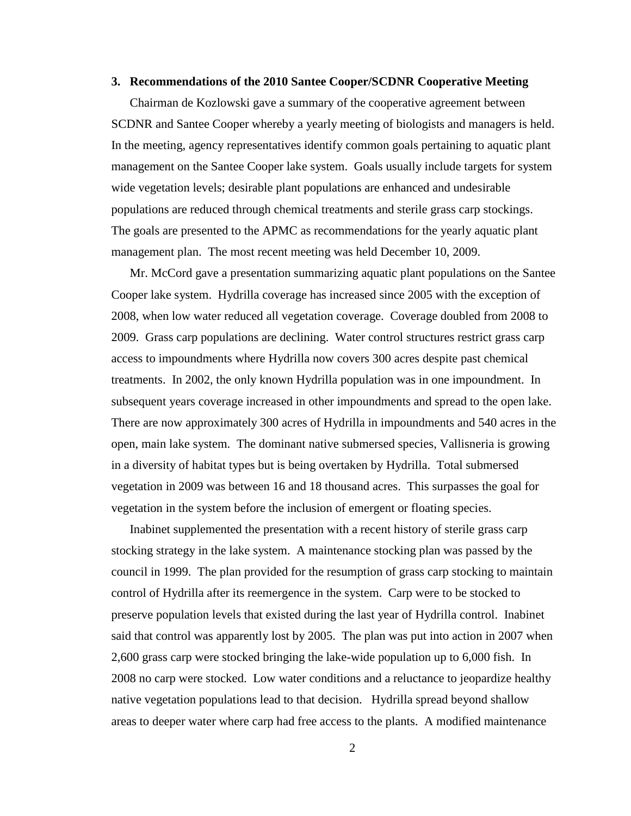## **3. Recommendations of the 2010 Santee Cooper/SCDNR Cooperative Meeting**

Chairman de Kozlowski gave a summary of the cooperative agreement between SCDNR and Santee Cooper whereby a yearly meeting of biologists and managers is held. In the meeting, agency representatives identify common goals pertaining to aquatic plant management on the Santee Cooper lake system. Goals usually include targets for system wide vegetation levels; desirable plant populations are enhanced and undesirable populations are reduced through chemical treatments and sterile grass carp stockings. The goals are presented to the APMC as recommendations for the yearly aquatic plant management plan. The most recent meeting was held December 10, 2009.

Mr. McCord gave a presentation summarizing aquatic plant populations on the Santee Cooper lake system. Hydrilla coverage has increased since 2005 with the exception of 2008, when low water reduced all vegetation coverage. Coverage doubled from 2008 to 2009. Grass carp populations are declining. Water control structures restrict grass carp access to impoundments where Hydrilla now covers 300 acres despite past chemical treatments. In 2002, the only known Hydrilla population was in one impoundment. In subsequent years coverage increased in other impoundments and spread to the open lake. There are now approximately 300 acres of Hydrilla in impoundments and 540 acres in the open, main lake system. The dominant native submersed species, Vallisneria is growing in a diversity of habitat types but is being overtaken by Hydrilla. Total submersed vegetation in 2009 was between 16 and 18 thousand acres. This surpasses the goal for vegetation in the system before the inclusion of emergent or floating species.

Inabinet supplemented the presentation with a recent history of sterile grass carp stocking strategy in the lake system. A maintenance stocking plan was passed by the council in 1999. The plan provided for the resumption of grass carp stocking to maintain control of Hydrilla after its reemergence in the system. Carp were to be stocked to preserve population levels that existed during the last year of Hydrilla control. Inabinet said that control was apparently lost by 2005. The plan was put into action in 2007 when 2,600 grass carp were stocked bringing the lake-wide population up to 6,000 fish. In 2008 no carp were stocked. Low water conditions and a reluctance to jeopardize healthy native vegetation populations lead to that decision. Hydrilla spread beyond shallow areas to deeper water where carp had free access to the plants. A modified maintenance

2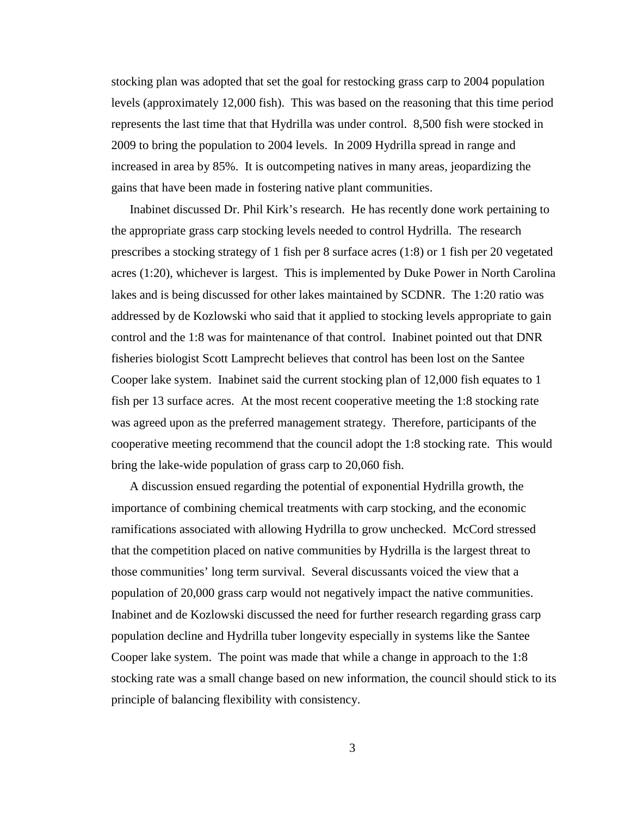stocking plan was adopted that set the goal for restocking grass carp to 2004 population levels (approximately 12,000 fish). This was based on the reasoning that this time period represents the last time that that Hydrilla was under control. 8,500 fish were stocked in 2009 to bring the population to 2004 levels. In 2009 Hydrilla spread in range and increased in area by 85%. It is outcompeting natives in many areas, jeopardizing the gains that have been made in fostering native plant communities.

Inabinet discussed Dr. Phil Kirk's research. He has recently done work pertaining to the appropriate grass carp stocking levels needed to control Hydrilla. The research prescribes a stocking strategy of 1 fish per 8 surface acres (1:8) or 1 fish per 20 vegetated acres (1:20), whichever is largest. This is implemented by Duke Power in North Carolina lakes and is being discussed for other lakes maintained by SCDNR. The 1:20 ratio was addressed by de Kozlowski who said that it applied to stocking levels appropriate to gain control and the 1:8 was for maintenance of that control. Inabinet pointed out that DNR fisheries biologist Scott Lamprecht believes that control has been lost on the Santee Cooper lake system. Inabinet said the current stocking plan of 12,000 fish equates to 1 fish per 13 surface acres. At the most recent cooperative meeting the 1:8 stocking rate was agreed upon as the preferred management strategy. Therefore, participants of the cooperative meeting recommend that the council adopt the 1:8 stocking rate. This would bring the lake-wide population of grass carp to 20,060 fish.

A discussion ensued regarding the potential of exponential Hydrilla growth, the importance of combining chemical treatments with carp stocking, and the economic ramifications associated with allowing Hydrilla to grow unchecked. McCord stressed that the competition placed on native communities by Hydrilla is the largest threat to those communities' long term survival. Several discussants voiced the view that a population of 20,000 grass carp would not negatively impact the native communities. Inabinet and de Kozlowski discussed the need for further research regarding grass carp population decline and Hydrilla tuber longevity especially in systems like the Santee Cooper lake system. The point was made that while a change in approach to the 1:8 stocking rate was a small change based on new information, the council should stick to its principle of balancing flexibility with consistency.

3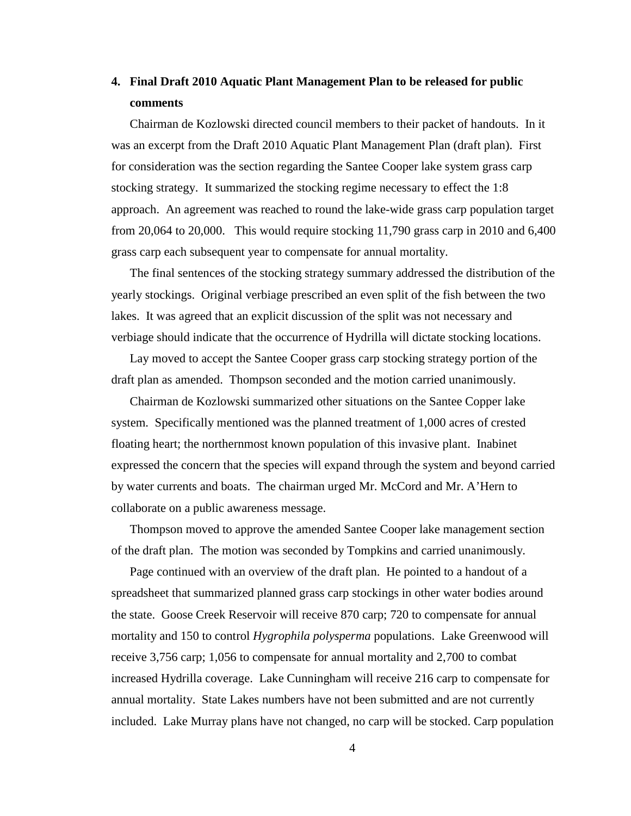# **4. Final Draft 2010 Aquatic Plant Management Plan to be released for public comments**

Chairman de Kozlowski directed council members to their packet of handouts. In it was an excerpt from the Draft 2010 Aquatic Plant Management Plan (draft plan). First for consideration was the section regarding the Santee Cooper lake system grass carp stocking strategy. It summarized the stocking regime necessary to effect the 1:8 approach. An agreement was reached to round the lake-wide grass carp population target from 20,064 to 20,000. This would require stocking 11,790 grass carp in 2010 and 6,400 grass carp each subsequent year to compensate for annual mortality.

The final sentences of the stocking strategy summary addressed the distribution of the yearly stockings. Original verbiage prescribed an even split of the fish between the two lakes. It was agreed that an explicit discussion of the split was not necessary and verbiage should indicate that the occurrence of Hydrilla will dictate stocking locations.

Lay moved to accept the Santee Cooper grass carp stocking strategy portion of the draft plan as amended. Thompson seconded and the motion carried unanimously.

Chairman de Kozlowski summarized other situations on the Santee Copper lake system. Specifically mentioned was the planned treatment of 1,000 acres of crested floating heart; the northernmost known population of this invasive plant. Inabinet expressed the concern that the species will expand through the system and beyond carried by water currents and boats. The chairman urged Mr. McCord and Mr. A'Hern to collaborate on a public awareness message.

Thompson moved to approve the amended Santee Cooper lake management section of the draft plan. The motion was seconded by Tompkins and carried unanimously.

Page continued with an overview of the draft plan. He pointed to a handout of a spreadsheet that summarized planned grass carp stockings in other water bodies around the state. Goose Creek Reservoir will receive 870 carp; 720 to compensate for annual mortality and 150 to control *Hygrophila polysperma* populations. Lake Greenwood will receive 3,756 carp; 1,056 to compensate for annual mortality and 2,700 to combat increased Hydrilla coverage. Lake Cunningham will receive 216 carp to compensate for annual mortality. State Lakes numbers have not been submitted and are not currently included. Lake Murray plans have not changed, no carp will be stocked. Carp population

4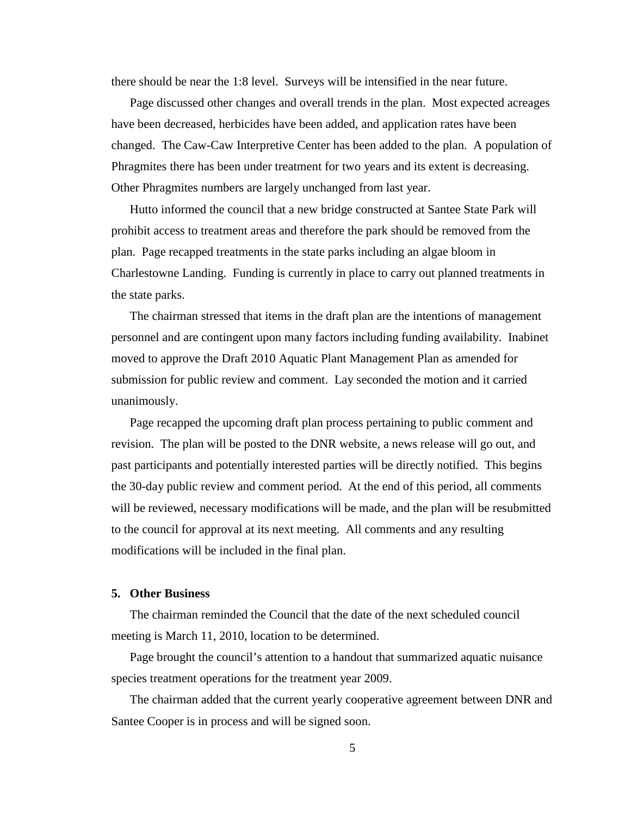there should be near the 1:8 level. Surveys will be intensified in the near future.

Page discussed other changes and overall trends in the plan. Most expected acreages have been decreased, herbicides have been added, and application rates have been changed. The Caw-Caw Interpretive Center has been added to the plan. A population of Phragmites there has been under treatment for two years and its extent is decreasing. Other Phragmites numbers are largely unchanged from last year.

Hutto informed the council that a new bridge constructed at Santee State Park will prohibit access to treatment areas and therefore the park should be removed from the plan. Page recapped treatments in the state parks including an algae bloom in Charlestowne Landing. Funding is currently in place to carry out planned treatments in the state parks.

The chairman stressed that items in the draft plan are the intentions of management personnel and are contingent upon many factors including funding availability. Inabinet moved to approve the Draft 2010 Aquatic Plant Management Plan as amended for submission for public review and comment. Lay seconded the motion and it carried unanimously.

Page recapped the upcoming draft plan process pertaining to public comment and revision. The plan will be posted to the DNR website, a news release will go out, and past participants and potentially interested parties will be directly notified. This begins the 30-day public review and comment period. At the end of this period, all comments will be reviewed, necessary modifications will be made, and the plan will be resubmitted to the council for approval at its next meeting. All comments and any resulting modifications will be included in the final plan.

# **5. Other Business**

The chairman reminded the Council that the date of the next scheduled council meeting is March 11, 2010, location to be determined.

Page brought the council's attention to a handout that summarized aquatic nuisance species treatment operations for the treatment year 2009.

The chairman added that the current yearly cooperative agreement between DNR and Santee Cooper is in process and will be signed soon.